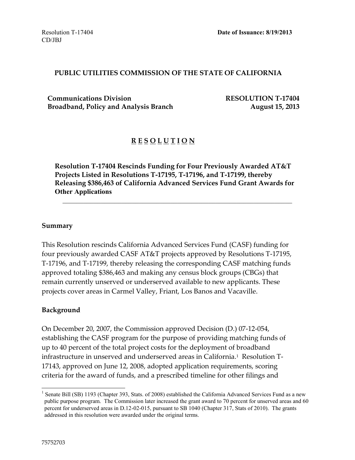#### **PUBLIC UTILITIES COMMISSION OF THE STATE OF CALIFORNIA**

**Communications Division RESOLUTION T-17404** Broadband, Policy and Analysis Branch **August 15, 2013** 

#### **R E S O L U T I O N**

**Resolution T-17404 Rescinds Funding for Four Previously Awarded AT&T Projects Listed in Resolutions T-17195, T-17196, and T-17199, thereby Releasing \$386,463 of California Advanced Services Fund Grant Awards for Other Applications**

 $\mathcal{L}_\mathcal{L} = \mathcal{L}_\mathcal{L} = \mathcal{L}_\mathcal{L} = \mathcal{L}_\mathcal{L} = \mathcal{L}_\mathcal{L} = \mathcal{L}_\mathcal{L} = \mathcal{L}_\mathcal{L} = \mathcal{L}_\mathcal{L} = \mathcal{L}_\mathcal{L} = \mathcal{L}_\mathcal{L} = \mathcal{L}_\mathcal{L} = \mathcal{L}_\mathcal{L} = \mathcal{L}_\mathcal{L} = \mathcal{L}_\mathcal{L} = \mathcal{L}_\mathcal{L} = \mathcal{L}_\mathcal{L} = \mathcal{L}_\mathcal{L}$ 

#### **Summary**

This Resolution rescinds California Advanced Services Fund (CASF) funding for four previously awarded CASF AT&T projects approved by Resolutions T-17195, T-17196, and T-17199, thereby releasing the corresponding CASF matching funds approved totaling \$386,463 and making any census block groups (CBGs) that remain currently unserved or underserved available to new applicants. These projects cover areas in Carmel Valley, Friant, Los Banos and Vacaville.

#### **Background**

On December 20, 2007, the Commission approved Decision (D.) 07-12-054, establishing the CASF program for the purpose of providing matching funds of up to 40 percent of the total project costs for the deployment of broadband infrastructure in unserved and underserved areas in California.<sup>1</sup> Resolution T-17143, approved on June 12, 2008, adopted application requirements, scoring criteria for the award of funds, and a prescribed timeline for other filings and

 $\overline{a}$ 

<sup>&</sup>lt;sup>1</sup> Senate Bill (SB) 1193 (Chapter 393, Stats. of 2008) established the California Advanced Services Fund as a new public purpose program. The Commission later increased the grant award to 70 percent for unserved areas and 60 percent for underserved areas in D.12-02-015, pursuant to SB 1040 (Chapter 317, Stats of 2010). The grants addressed in this resolution were awarded under the original terms.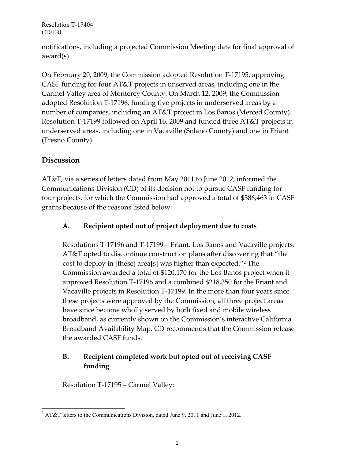Resolution T-17404 CD/JBJ

notifications, including a projected Commission Meeting date for final approval of award(s).

On February 20, 2009, the Commission adopted Resolution T-17195, approving CASF funding for four AT&T projects in unserved areas, including one in the Carmel Valley area of Monterey County. On March 12, 2009, the Commission adopted Resolution T-17196, funding five projects in underserved areas by a number of companies, including an AT&T project in Los Banos (Merced County). Resolution T-17199 followed on April 16, 2009 and funded three AT&T projects in underserved areas, including one in Vacaville (Solano County) and one in Friant (Fresno County).

## **Discussion**

AT&T, via a series of letters dated from May 2011 to June 2012, informed the Communications Division (CD) of its decision not to pursue CASF funding for four projects, for which the Commission had approved a total of \$386,463 in CASF grants because of the reasons listed below:

### **A. Recipient opted out of project deployment due to costs**

Resolutions T-17196 and T-17199 – Friant, Los Banos and Vacaville projects: AT&T opted to discontinue construction plans after discovering that "the cost to deploy in [these] area[s] was higher than expected."<sup>2</sup> The Commission awarded a total of \$120,170 for the Los Banos project when it approved Resolution T-17196 and a combined \$218,350 for the Friant and Vacaville projects in Resolution T-17199. In the more than four years since these projects were approved by the Commission, all three project areas have since become wholly served by both fixed and mobile wireless broadband, as currently shown on the Commission's interactive California Broadband Availability Map. CD recommends that the Commission release the awarded CASF funds.

## **B. Recipient completed work but opted out of receiving CASF funding**

Resolution T-17195 – Carmel Valley:

 $\overline{a}$ <sup>2</sup> AT&T letters to the Communications Division, dated June 9, 2011 and June 1, 2012.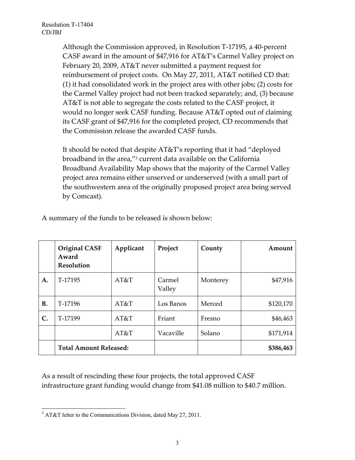Although the Commission approved, in Resolution T-17195, a 40-percent CASF award in the amount of \$47,916 for AT&T's Carmel Valley project on February 20, 2009, AT&T never submitted a payment request for reimbursement of project costs. On May 27, 2011, AT&T notified CD that: (1) it had consolidated work in the project area with other jobs; (2) costs for the Carmel Valley project had not been tracked separately; and, (3) because AT&T is not able to segregate the costs related to the CASF project, it would no longer seek CASF funding. Because AT&T opted out of claiming its CASF grant of \$47,916 for the completed project, CD recommends that the Commission release the awarded CASF funds.

It should be noted that despite AT&T's reporting that it had "deployed broadband in the area,"<sup>3</sup> current data available on the California Broadband Availability Map shows that the majority of the Carmel Valley project area remains either unserved or underserved (with a small part of the southwestern area of the originally proposed project area being served by Comcast).

|           | <b>Original CASF</b><br>Award<br><b>Resolution</b> | Applicant | Project          | County   | Amount    |
|-----------|----------------------------------------------------|-----------|------------------|----------|-----------|
| A.        | T-17195                                            | AT&T      | Carmel<br>Valley | Monterey | \$47,916  |
| <b>B.</b> | T-17196                                            | AT&T      | Los Banos        | Merced   | \$120,170 |
| C.        | T-17199                                            | AT&T      | Friant           | Fresno   | \$46,463  |
|           |                                                    | AT&T      | Vacaville        | Solano   | \$171,914 |
|           | <b>Total Amount Released:</b>                      |           |                  |          | \$386,463 |

A summary of the funds to be released is shown below:

As a result of rescinding these four projects, the total approved CASF infrastructure grant funding would change from \$41.08 million to \$40.7 million.

 $\overline{a}$  $3$  AT&T letter to the Communications Division, dated May 27, 2011.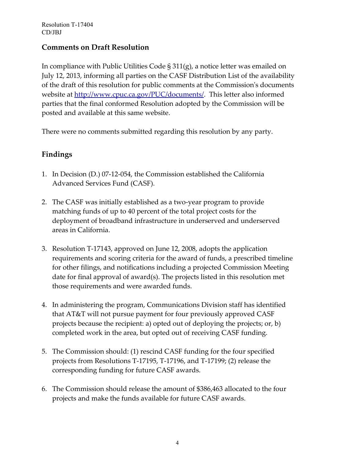### **Comments on Draft Resolution**

In compliance with Public Utilities Code § 311(g), a notice letter was emailed on July 12, 2013, informing all parties on the CASF Distribution List of the availability of the draft of this resolution for public comments at the Commission's documents website at http://www.cpuc.ca.gov/PUC/documents/. This letter also informed parties that the final conformed Resolution adopted by the Commission will be posted and available at this same website.

There were no comments submitted regarding this resolution by any party.

# **Findings**

- 1. In Decision (D.) 07-12-054, the Commission established the California Advanced Services Fund (CASF).
- 2. The CASF was initially established as a two-year program to provide matching funds of up to 40 percent of the total project costs for the deployment of broadband infrastructure in underserved and underserved areas in California.
- 3. Resolution T-17143, approved on June 12, 2008, adopts the application requirements and scoring criteria for the award of funds, a prescribed timeline for other filings, and notifications including a projected Commission Meeting date for final approval of award(s). The projects listed in this resolution met those requirements and were awarded funds.
- 4. In administering the program, Communications Division staff has identified that AT&T will not pursue payment for four previously approved CASF projects because the recipient: a) opted out of deploying the projects; or, b) completed work in the area, but opted out of receiving CASF funding.
- 5. The Commission should: (1) rescind CASF funding for the four specified projects from Resolutions T-17195, T-17196, and T-17199; (2) release the corresponding funding for future CASF awards.
- 6. The Commission should release the amount of \$386,463 allocated to the four projects and make the funds available for future CASF awards.